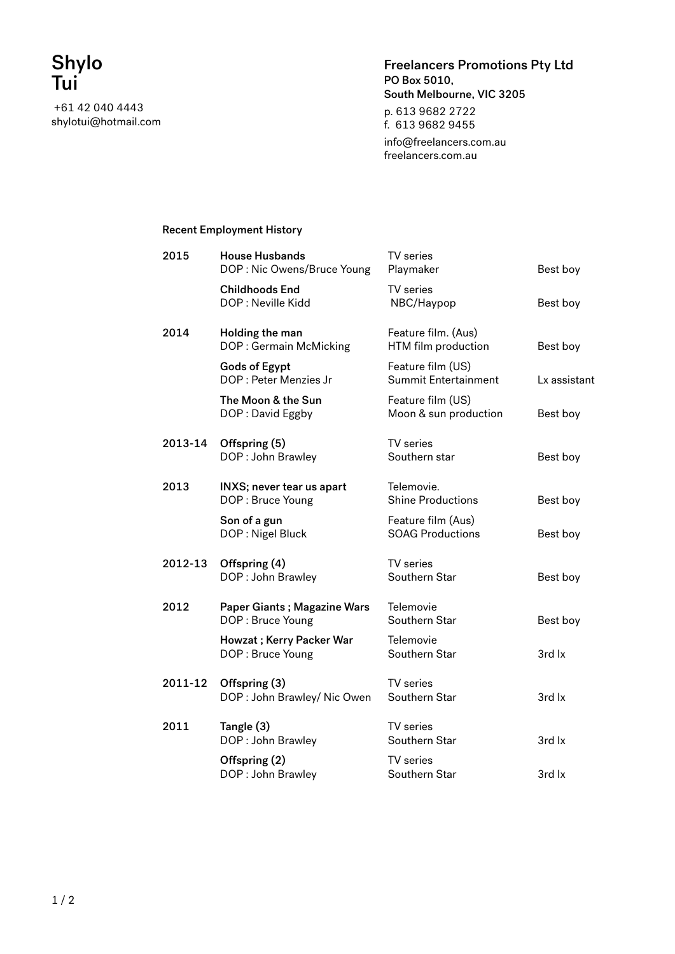+61 42 040 4443 shylotui@hotmail.com Freelancers Promotions Pty Ltd PO Box 5010, South Melbourne, VIC 3205 p. 613 9682 2722 f. 613 9682 9455 info@freelancers.com.au

freelancers.com.au

## Recent Employment History

| 2015    | <b>House Husbands</b><br>DOP: Nic Owens/Bruce Young    | TV series<br>Playmaker                        | Best boy     |
|---------|--------------------------------------------------------|-----------------------------------------------|--------------|
|         | <b>Childhoods End</b><br>DOP: Neville Kidd             | TV series<br>NBC/Haypop                       | Best boy     |
| 2014    | Holding the man<br>DOP: Germain McMicking              | Feature film. (Aus)<br>HTM film production    | Best boy     |
|         | <b>Gods of Egypt</b><br>DOP : Peter Menzies Jr         | Feature film (US)<br>Summit Entertainment     | Lx assistant |
|         | The Moon & the Sun<br>DOP: David Eggby                 | Feature film (US)<br>Moon & sun production    | Best boy     |
| 2013-14 | Offspring (5)<br>DOP: John Brawley                     | TV series<br>Southern star                    | Best boy     |
| 2013    | INXS; never tear us apart<br>DOP: Bruce Young          | Telemovie.<br><b>Shine Productions</b>        | Best boy     |
|         | Son of a gun<br>DOP: Nigel Bluck                       | Feature film (Aus)<br><b>SOAG Productions</b> | Best boy     |
| 2012-13 | Offspring (4)<br>DOP: John Brawley                     | TV series<br>Southern Star                    | Best boy     |
| 2012    | <b>Paper Giants; Magazine Wars</b><br>DOP: Bruce Young | Telemovie<br>Southern Star                    | Best boy     |
|         | Howzat; Kerry Packer War<br>DOP: Bruce Young           | Telemovie<br>Southern Star                    | 3rd lx       |
| 2011-12 | Offspring (3)<br>DOP: John Brawley/ Nic Owen           | TV series<br>Southern Star                    | 3rd lx       |
| 2011    | Tangle (3)<br>DOP: John Brawley                        | TV series<br>Southern Star                    | 3rd lx       |
|         | Offspring (2)<br>DOP: John Brawley                     | TV series<br>Southern Star                    | 3rd lx       |